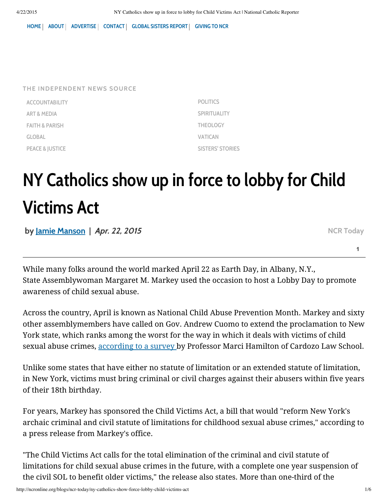[HOME](http://ncronline.org/) | [ABOUT](http://ncronline.org/about-us) | [ADVERTISE](http://ncronline.org/advertise) | [CONTACT](http://ncronline.org/contact-national-catholic-reporter) | GLOBAL [SISTERS](http://globalsistersreport.org/) REPORT | [GIVING](http://ncronline.org/donate) TO NCR

| THE INDEPENDENT NEWS SOURCE |
|-----------------------------|
| <b>ACCOUNTABILITY</b>       |
| ART & MEDIA                 |
| <b>FAITH &amp; PARISH</b>   |

[GLOBAL](http://ncronline.org/channel/global)

[PEACE](https://disqus.com/by/SNAPJudy/) & [JUSTICE](http://ncronline.org/channel/peace-justice)

[POLITICS](http://ncronline.org/channel/politics) **[SPIRITUALITY](http://ncronline.org/channel/spirituality)** [THEOLOGY](http://ncronline.org/channel/theology) [VATICAN](http://ncronline.org/channel/vatican) SISTERS' [STORIES](http://ncronline.org/channel/sisters-stories)

# NY Catholics show up in force to lobby for Child Victims Act

by Jamie [Manson](http://ncronline.org/authors/jamie-manson) | Apr. 22, 2015

NCR [Today](http://ncronline.org/blogs/ncr-today)

**1**

While many folks around the world marked April 22 as Earth Day, in Albany, N.Y., State Assemblywoman Margaret M. Markey used the occasion to host a Lobby Day to promote awareness of child sexual abuse.

Across the country, April is known as National Child Abuse Prevention Month. Markey and sixty other assemblymembers have called on Gov. Andrew Cuomo to extend the proclamation to New York state, which ranks among the worst for the way in which it deals with victims of child sexual abuse crimes, [according](http://sol-reform.com/) to a survey by Professor Marci Hamilton of Cardozo Law School.

Unlike some states that have either no statute of limitation or an extended statute of limitation, in New York, victims must bring criminal or civil charges against their abusers within five years of their 18th birthday.

For years, [Markey](https://disqus.com/by/emmettcoyne/) has [sponsore](http://ncronline.org/blogs/ncr-today/ny-catholics-show-force-lobby-child-victims-act#comment-1982065050)d the Child Victims Act, a bill that would "reform New York's [archa](https://disqus.com/by/emmettcoyne/)ic criminal and civil statute of limitations for childhood sexual abuse crimes," according to a press release from Markey's office.

"The Child Victims Act calls for the total elimination of the criminal and civil statute of limitations for child sexual abuse crimes in the future, with a complete one year suspension of the civil SOL to benefit older victims," the release also states. More than one-third of the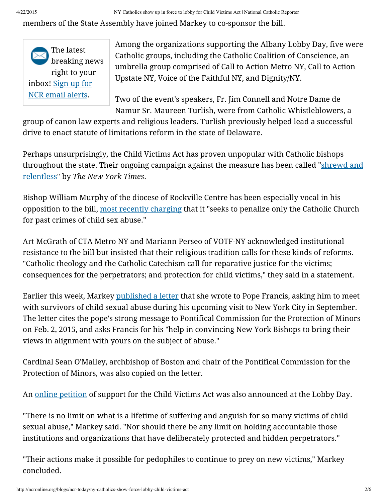members of the State Assembly have joined Markey to co-sponsor the bill.



Among the organizations supporting the Albany Lobby Day, five were Catholic groups, including the Catholic Coalition of Conscience, an umbrella group comprised of Call to Action Metro NY, Call to Action [U](http://ncronline.org/blogs/ncr-today/ny-catholics-show-force-lobby-child-victims-act#comment-1982065050)pstate NY, Voice of the Faithful NY, and Dignity/NY.

[Two](http://ncronline.org/blogs/ncr-today/ny-catholics-show-force-lobby-child-victims-act#comment-1982038935) of the event's speakers, Fr. Jim Connell and Notre Dame de Namur Sr. Maureen Turlish, were from Catholic Whistleblowers, a

[group](https://disqus.com/by/bumblebee8/) of canon law experts and religious leaders. Turlish previously helped lead a successful drive to enact statute of limitations reform in the state of Delaware.

Perhaps unsurprisingly, the Child Victims Act has proven unpopular with Catholic bishops [throughout](http://www.nytimes.com/2009/08/10/nyregion/10abuse.html?pagewanted=all&_r=0) the state. Their ongoing campaign against the measure has been called "shrewd and relentless" by *The New York Times*.

Bishop William Murphy of the diocese of Rockville Centre has been especially vocal in his opposition to the bill, most recently [charging](http://www.ncronline.org/node/89561) that it "seeks to penalize only the Catholic Church for past crimes of child sex abuse."

Art McGrath of CTA Metro NY and Mariann Perseo of VOTF-NY acknowledged institutional resista[nce](https://disqus.com/by/Rondre/) to the [bill](https://disqus.com/by/Rondre/) but [insisted](http://ncronline.org/blogs/ncr-today/ny-catholics-show-force-lobby-child-victims-act#comment-1982038935) that [their](http://ncronline.org/blogs/ncr-today/ny-catholics-show-force-lobby-child-victims-act#comment-1982335144) religious tradition calls for these kinds of reforms. "Catholic theology and the Catholic Catechism call for reparative justice for the victims; consequences for the perpet[rato](http://ncronline.org/blogs/ncr-today/ny-catholics-show-force-lobby-child-victims-act#comment-1982335144)rs; and protection for child victims," they said in a statement.

[Earlie](https://disqus.com/by/disqus_Pz8gv46joX/)r this [week](https://disqus.com/by/disqus_Pz8gv46joX/), [Markey](http://ncronline.org/blogs/ncr-today/ny-catholics-show-force-lobby-child-victims-act#comment-1982580362) [published](http://sol-reform.com/2015/04/sol-activities-wed-a) a letter that she wrote to Pope Francis, asking him to meet with survivors of child sexual abuse during his upcoming visit to New York City in September. The letter cites the pope's strong message to Pontifical Commission for the Protection of Minors on Feb. 2, 2015, and asks Francis for his "help in convincing New York Bishops to bring their views in alignment with yours on the subject of abuse."

Cardinal Sean O'Malley, archbishop of Boston and chair of the Pontifical Commission for the Protection of Minors, [wa](http://ncronline.org/blogs/ncr-today/ny-catholics-show-force-lobby-child-victims-act#comment-1982580362)s also copied on the letter.

[An](https://disqus.com/by/gayfordhamprepgrad/) online [petition](http://www.safehorizon.org/page/child-victims-act-352.html) of support for the [Chil](http://ncronline.org/blogs/ncr-today/ny-catholics-show-force-lobby-child-victims-act#comment-1982390795)d Victims Act was also announced at the Lobby Day.

"There is no limit on what is a lifetime of suffering and anguish for so many victims of child sexual abuse," Markey said. "Nor should there be any limit on holding accountable those institutions and orga[niza](http://ncronline.org/blogs/ncr-today/ny-catholics-show-force-lobby-child-victims-act#comment-1982390795)tions that have deliberately protected and hidden perpetrators."

"Their actions make it possible for pedophiles to continue to prey on new victims," Markey concluded.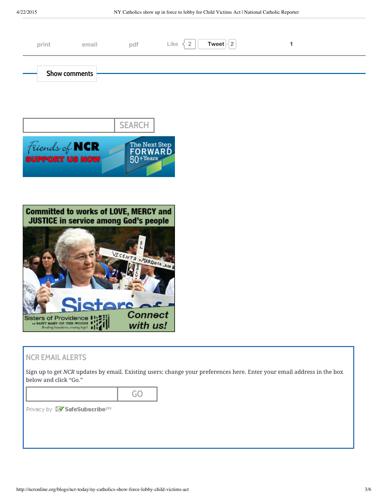| print                                     | email | pdf | Tweet $\vert\langle 2\vert$<br>Like<br>$\overline{2}$ |  |
|-------------------------------------------|-------|-----|-------------------------------------------------------|--|
| $\overline{\phantom{a}}$<br>Show comments |       |     |                                                       |  |





#### NCR EMAIL ALERTS

Sign up to get *NCR* updates by email. Existing users: change your preferences here. Enter your email address in the box below and click "Go."

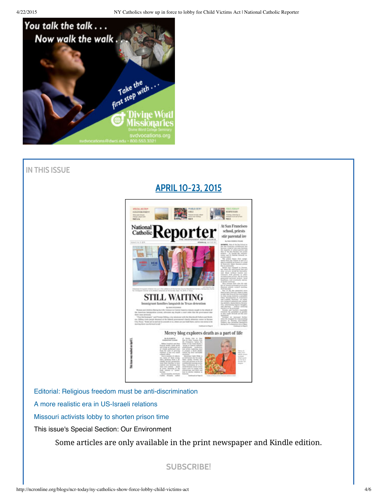

## IN THIS ISSUE

# APRIL [10-23,](http://ncronline.org/issues/april-10-23-2015) 2015



Editorial: Religious freedom must be [anti-discrimination](http://ncronline.org/news/politics/editorial-religious-freedom-must-be-anti-discrimination)

A more realistic era in [US-Israeli](http://ncronline.org/news/global/more-realistic-era-us-israeli-relations) relations

[Missouri](http://ncronline.org/news/peace-justice/missouri-activists-lobby-shorten-prison-time) activists lobby to shorten prison time

This issue's Special Section: Our Environment

Some articles are only available in the print newspaper and Kindle edition.

[SUBSCRIBE!](http://ncronline.org/ncr-print-subscription-form-0?bl)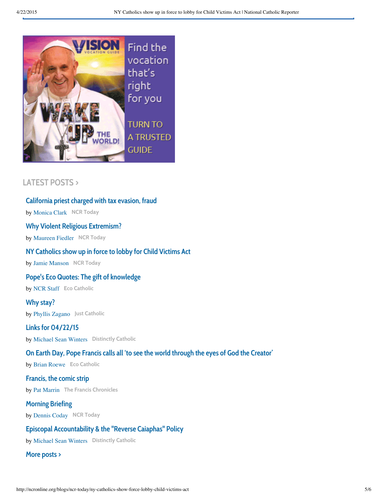

## [LATEST](http://ncronline.org/blogs/latest) POSTS >

#### [California](http://ncronline.org/blogs/ncr-today/california-priest-charged-tax-evasion-fraud) priest charged with tax evasion, fraud

by [Monica](http://ncronline.org/authors/monica-clark) Clark NCR [Today](http://ncronline.org/blogs/ncr-today)

#### Why Violent Religious [Extremism?](http://ncronline.org/blogs/ncr-today/why-violent-religious-extremism)

by [Maureen](http://ncronline.org/authors/maureen-fiedler) Fiedler NCR [Today](http://ncronline.org/blogs/ncr-today)

#### NY [Catholics](http://ncronline.org/blogs/ncr-today/ny-catholics-show-force-lobby-child-victims-act) show up in force to lobby for Child Victims Act

by Jamie [Manson](http://ncronline.org/authors/jamie-manson) NCR [Today](http://ncronline.org/blogs/ncr-today)

#### Pope's Eco Quotes: The gift of [knowledge](http://ncronline.org/blogs/eco-catholic/popes-eco-quotes-gift-knowledge)

by [NCR](http://ncronline.org/authors/ncr-staff) Staff Eco [Catholic](http://ncronline.org/blogs/eco-catholic)

# by Phyllis [Zagano](http://ncronline.org/authors/phyllis-zagano) Just [Catholic](http://ncronline.org/blogs/just-catholic) Why [stay?](http://ncronline.org/blogs/just-catholic/why-stay)

by [Michael](http://ncronline.org/authors/michael-sean-winters) Sean Winters [Distinctly](http://ncronline.org/blogs/distinctly-catholic) Catholic Links for [04/22/15](http://ncronline.org/blogs/distinctly-catholic/links-042215)

#### On Earth Day, Pope Francis calls all 'to see the world through the eyes of God the [Creator'](http://ncronline.org/blogs/eco-catholic/earth-day-pope-francis-calls-all-see-world-through-eyes-god-creator)

by Brian [Roewe](http://ncronline.org/authors/brian-roewe) Eco [Catholic](http://ncronline.org/blogs/eco-catholic)

# by Pat [Marrin](http://ncronline.org/authors/pat-marrin) The Francis [Chronicles](http://ncronline.org/blogs/francis-chronicles) [Francis,](http://ncronline.org/blogs/francis-chronicles/francis-comic-strip-111) the comic strip

#### [Morning](http://ncronline.org/blogs/ncr-today/morning-briefing-1356) Briefing

by [Dennis](http://ncronline.org/authors/dennis-coday) Coday NCR [Today](http://ncronline.org/blogs/ncr-today)

#### Episcopal [Accountability](http://ncronline.org/blogs/distinctly-catholic/episcopal-accountability-reverse-caiaphas-policy) & the "Reverse Caiaphas" Policy

by [Michael](http://ncronline.org/authors/michael-sean-winters) Sean Winters [Distinctly](http://ncronline.org/blogs/distinctly-catholic) Catholic

#### More [posts](http://ncronline.org/blogs/latest) >